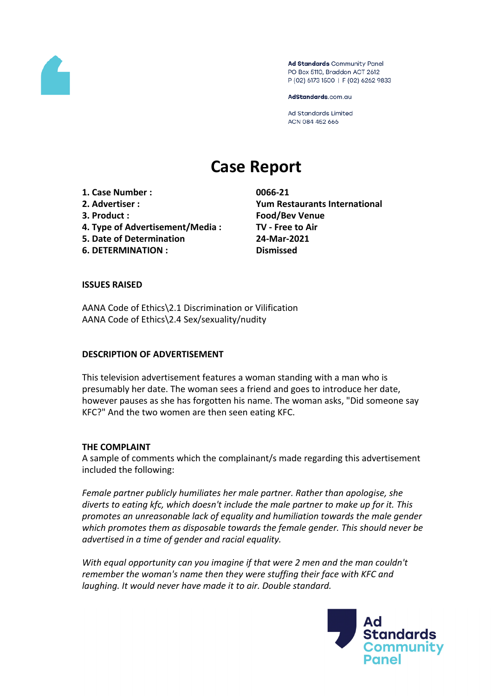

Ad Standards Community Panel PO Box 5110, Braddon ACT 2612 P (02) 6173 1500 | F (02) 6262 9833

AdStandards.com.au

**Ad Standards Limited** ACN 084 452 666

# **Case Report**

**1. Case Number : 0066-21**

- 
- **4. Type of Advertisement/Media : TV - Free to Air**
- **5. Date of Determination 24-Mar-2021**
- **6. DETERMINATION : Dismissed**

**2. Advertiser : Yum Restaurants International 3. Product : Food/Bev Venue**

# **ISSUES RAISED**

AANA Code of Ethics\2.1 Discrimination or Vilification AANA Code of Ethics\2.4 Sex/sexuality/nudity

## **DESCRIPTION OF ADVERTISEMENT**

This television advertisement features a woman standing with a man who is presumably her date. The woman sees a friend and goes to introduce her date, however pauses as she has forgotten his name. The woman asks, "Did someone say KFC?" And the two women are then seen eating KFC.

## **THE COMPLAINT**

A sample of comments which the complainant/s made regarding this advertisement included the following:

*Female partner publicly humiliates her male partner. Rather than apologise, she diverts to eating kfc, which doesn't include the male partner to make up for it. This promotes an unreasonable lack of equality and humiliation towards the male gender which promotes them as disposable towards the female gender. This should never be advertised in a time of gender and racial equality.*

*With equal opportunity can you imagine if that were 2 men and the man couldn't remember the woman's name then they were stuffing their face with KFC and laughing. It would never have made it to air. Double standard.*

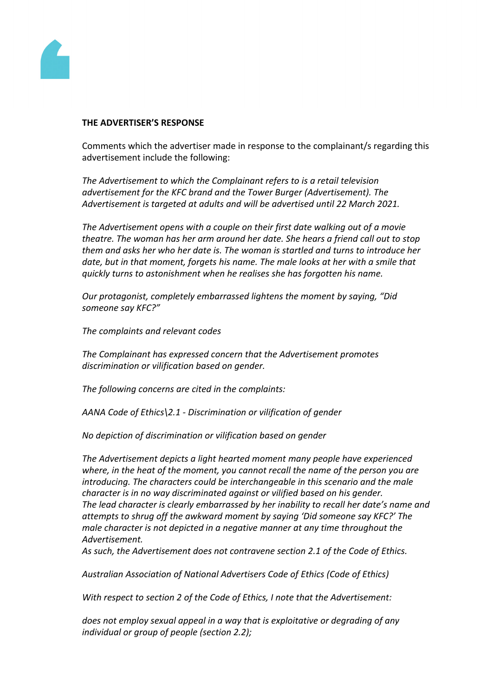

#### **THE ADVERTISER'S RESPONSE**

Comments which the advertiser made in response to the complainant/s regarding this advertisement include the following:

*The Advertisement to which the Complainant refers to is a retail television advertisement for the KFC brand and the Tower Burger (Advertisement). The Advertisement is targeted at adults and will be advertised until 22 March 2021.*

*The Advertisement opens with a couple on their first date walking out of a movie theatre. The woman has her arm around her date. She hears a friend call out to stop them and asks her who her date is. The woman is startled and turns to introduce her date, but in that moment, forgets his name. The male looks at her with a smile that quickly turns to astonishment when he realises she has forgotten his name.*

*Our protagonist, completely embarrassed lightens the moment by saying, "Did someone say KFC?"*

*The complaints and relevant codes*

*The Complainant has expressed concern that the Advertisement promotes discrimination or vilification based on gender.*

*The following concerns are cited in the complaints:*

*AANA Code of Ethics\2.1 - Discrimination or vilification of gender*

*No depiction of discrimination or vilification based on gender*

*The Advertisement depicts a light hearted moment many people have experienced where, in the heat of the moment, you cannot recall the name of the person you are introducing. The characters could be interchangeable in this scenario and the male character is in no way discriminated against or vilified based on his gender. The lead character is clearly embarrassed by her inability to recall her date's name and attempts to shrug off the awkward moment by saying 'Did someone say KFC?' The male character is not depicted in a negative manner at any time throughout the Advertisement.*

*As such, the Advertisement does not contravene section 2.1 of the Code of Ethics.*

*Australian Association of National Advertisers Code of Ethics (Code of Ethics)*

*With respect to section 2 of the Code of Ethics, I note that the Advertisement:*

*does not employ sexual appeal in a way that is exploitative or degrading of any individual or group of people (section 2.2);*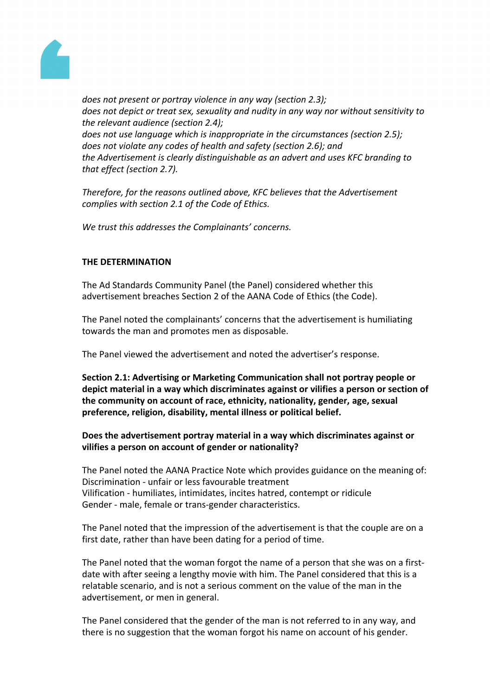

*does not present or portray violence in any way (section 2.3); does not depict or treat sex, sexuality and nudity in any way nor without sensitivity to the relevant audience (section 2.4); does not use language which is inappropriate in the circumstances (section 2.5); does not violate any codes of health and safety (section 2.6); and the Advertisement is clearly distinguishable as an advert and uses KFC branding to that effect (section 2.7).*

*Therefore, for the reasons outlined above, KFC believes that the Advertisement complies with section 2.1 of the Code of Ethics.*

*We trust this addresses the Complainants' concerns.*

# **THE DETERMINATION**

The Ad Standards Community Panel (the Panel) considered whether this advertisement breaches Section 2 of the AANA Code of Ethics (the Code).

The Panel noted the complainants' concerns that the advertisement is humiliating towards the man and promotes men as disposable.

The Panel viewed the advertisement and noted the advertiser's response.

**Section 2.1: Advertising or Marketing Communication shall not portray people or depict material in a way which discriminates against or vilifies a person or section of the community on account of race, ethnicity, nationality, gender, age, sexual preference, religion, disability, mental illness or political belief.**

# **Does the advertisement portray material in a way which discriminates against or vilifies a person on account of gender or nationality?**

The Panel noted the AANA Practice Note which provides guidance on the meaning of: Discrimination - unfair or less favourable treatment Vilification - humiliates, intimidates, incites hatred, contempt or ridicule Gender - male, female or trans-gender characteristics.

The Panel noted that the impression of the advertisement is that the couple are on a first date, rather than have been dating for a period of time.

The Panel noted that the woman forgot the name of a person that she was on a firstdate with after seeing a lengthy movie with him. The Panel considered that this is a relatable scenario, and is not a serious comment on the value of the man in the advertisement, or men in general.

The Panel considered that the gender of the man is not referred to in any way, and there is no suggestion that the woman forgot his name on account of his gender.